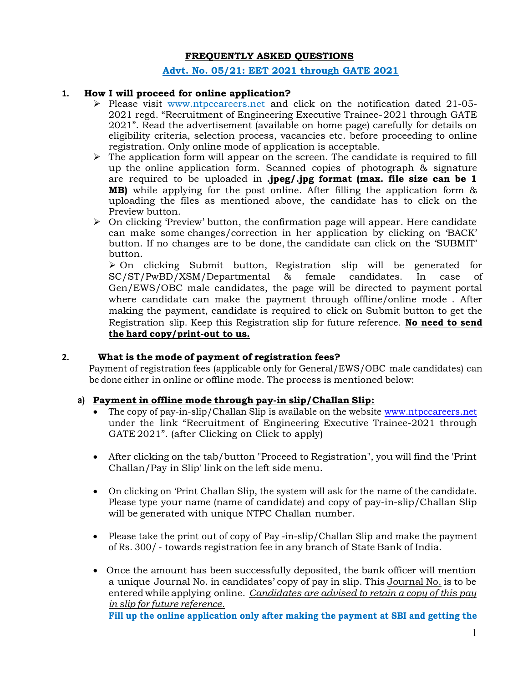# FREQUENTLY ASKED QUESTIONS

### Advt. No. 05/21: EET 2021 through GATE 2021

# 1. How I will proceed for online application?

- $\triangleright$  Please visit www.ntpccareers.net and click on the notification dated 21-05-2021 regd. "Recruitment of Engineering Executive Trainee- 2021 through GATE 2021". Read the advertisement (available on home page) carefully for details on eligibility criteria, selection process, vacancies etc. before proceeding to online registration. Only online mode of application is acceptable.
- $\triangleright$  The application form will appear on the screen. The candidate is required to fill up the online application form. Scanned copies of photograph & signature are required to be uploaded in .jpeg/.jpg format (max. file size can be  $1$ **MB)** while applying for the post online. After filling the application form  $\&$ uploading the files as mentioned above, the candidate has to click on the Preview button.
- $\triangleright$  On clicking 'Preview' button, the confirmation page will appear. Here candidate can make some changes/correction in her application by clicking on 'BACK' button. If no changes are to be done, the candidate can click on the 'SUBMIT' button.

 $\geq$  On clicking Submit button, Registration slip will be generated for SC/ST/PwBD/XSM/Departmental & female candidates. In case of Gen/EWS/OBC male candidates, the page will be directed to payment portal where candidate can make the payment through offline/online mode . After making the payment, candidate is required to click on Submit button to get the Registration slip. Keep this Registration slip for future reference. No need to send the hard copy/print-out to us.

#### 2. What is the mode of payment of registration fees?

Payment of registration fees (applicable only for General/EWS/OBC male candidates) can be done either in online or offline mode. The process is mentioned below:

# a) Payment in offline mode through pay-in slip/Challan Slip:

- The copy of pay-in-slip/Challan Slip is available on the website www.ntpccareers.net under the link "Recruitment of Engineering Executive Trainee-2021 through GATE 2021". (after Clicking on Click to apply)
- After clicking on the tab/button "Proceed to Registration", you will find the 'Print Challan/Pay in Slip' link on the left side menu.
- On clicking on 'Print Challan Slip, the system will ask for the name of the candidate. Please type your name (name of candidate) and copy of pay-in-slip/Challan Slip will be generated with unique NTPC Challan number.
- Please take the print out of copy of Pay -in-slip/Challan Slip and make the payment of Rs. 300/ - towards registration fee in any branch of State Bank of India.
- Once the amount has been successfully deposited, the bank officer will mention a unique Journal No. in candidates' copy of pay in slip. This Journal No. is to be entered while applying online. Candidates are advised to retain a copy of this pay in slip for future reference.

Fill up the online application only after making the payment at SBI and getting the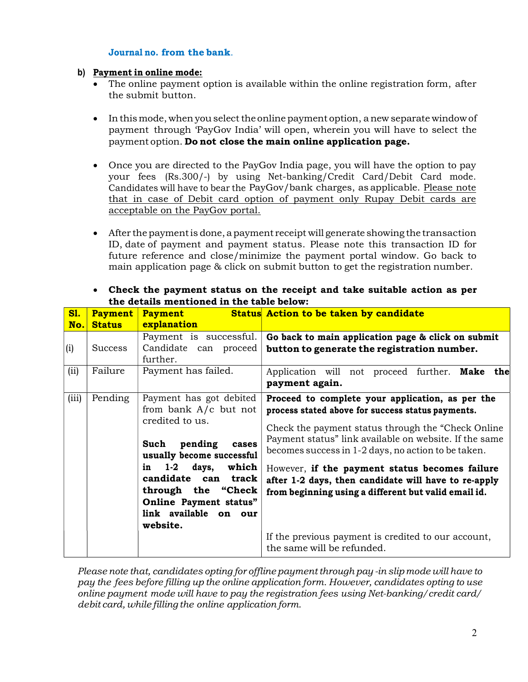# Journal no. from the bank.

#### b) Payment in online mode:

- The online payment option is available within the online registration form, after the submit button.
- In this mode, when you select the online payment option, a new separate window of payment through 'PayGov India' will open, wherein you will have to select the payment option. Do not close the main online application page.
- Once you are directed to the PayGov India page, you will have the option to pay your fees (Rs.300/-) by using Net-banking/Credit Card/Debit Card mode. Candidates will have to bear the PayGov/bank charges, as applicable. Please note that in case of Debit card option of payment only Rupay Debit cards are acceptable on the PayGov portal.
- After the payment is done, a payment receipt will generate showing the transaction ID, date of payment and payment status. Please note this transaction ID for future reference and close/minimize the payment portal window. Go back to main application page & click on submit button to get the registration number.

| <b>S1.</b><br>No. | <b>Payment</b><br><b>Status</b> | <b>Payment</b><br>explanation                                                                                                                                                                                                                                                  | Status Action to be taken by candidate                                                                                                                                                                                                                                                                                                                                                                                                                                                                                               |
|-------------------|---------------------------------|--------------------------------------------------------------------------------------------------------------------------------------------------------------------------------------------------------------------------------------------------------------------------------|--------------------------------------------------------------------------------------------------------------------------------------------------------------------------------------------------------------------------------------------------------------------------------------------------------------------------------------------------------------------------------------------------------------------------------------------------------------------------------------------------------------------------------------|
| (i)<br>(ii)       | <b>Success</b><br>Failure       | Payment is successful.<br>Candidate can proceed<br>further.<br>Payment has failed.                                                                                                                                                                                             | Go back to main application page & click on submit<br>button to generate the registration number.<br>Application will not proceed further.<br>Make the<br>payment again.                                                                                                                                                                                                                                                                                                                                                             |
| (iii)             | Pending                         | Payment has got debited<br>from bank $A/c$ but not<br>credited to us.<br>Such<br>pending<br>cases<br>usually become successful<br>$1-2$<br>days,<br>which<br>in<br>candidate can<br>track<br>through the "Check<br>Online Payment status"<br>link available on our<br>website. | Proceed to complete your application, as per the<br>process stated above for success status payments.<br>Check the payment status through the "Check Online"<br>Payment status" link available on website. If the same<br>becomes success in 1-2 days, no action to be taken.<br>However, if the payment status becomes failure<br>after 1-2 days, then candidate will have to re-apply<br>from beginning using a different but valid email id.<br>If the previous payment is credited to our account,<br>the same will be refunded. |

 Check the payment status on the receipt and take suitable action as per the details mentioned in the table below:

Please note that, candidates opting for offline payment through pay -in slip mode will have to pay the fees before filling up the online application form. However, candidates opting to use online payment mode will have to pay the registration fees using Net-banking/credit card/ debit card, while filling the online application form.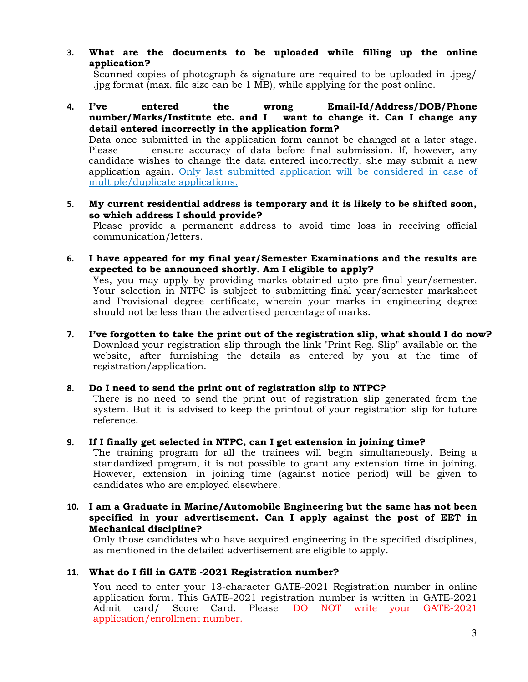3. What are the documents to be uploaded while filling up the online application?

Scanned copies of photograph & signature are required to be uploaded in .jpeg/ .jpg format (max. file size can be 1 MB), while applying for the post online.

4. I've entered the wrong Email-Id/Address/DOB/Phone number/Marks/Institute etc. and I want to change it. Can I change any detail entered incorrectly in the application form?

Data once submitted in the application form cannot be changed at a later stage. Please ensure accuracy of data before final submission. If, however, any candidate wishes to change the data entered incorrectly, she may submit a new application again. Only last submitted application will be considered in case of multiple/duplicate applications.

5. My current residential address is temporary and it is likely to be shifted soon, so which address I should provide?

Please provide a permanent address to avoid time loss in receiving official communication/letters.

6. I have appeared for my final year/Semester Examinations and the results are expected to be announced shortly. Am I eligible to apply?

Yes, you may apply by providing marks obtained upto pre-final year/semester. Your selection in NTPC is subject to submitting final year/semester marksheet and Provisional degree certificate, wherein your marks in engineering degree should not be less than the advertised percentage of marks.

- 7. I've forgotten to take the print out of the registration slip, what should I do now? Download your registration slip through the link "Print Reg. Slip" available on the website, after furnishing the details as entered by you at the time of registration/application.
- 8. Do I need to send the print out of registration slip to NTPC?

There is no need to send the print out of registration slip generated from the system. But it is advised to keep the printout of your registration slip for future reference.

9. If I finally get selected in NTPC, can I get extension in joining time?

The training program for all the trainees will begin simultaneously. Being a standardized program, it is not possible to grant any extension time in joining. However, extension in joining time (against notice period) will be given to candidates who are employed elsewhere.

10. I am a Graduate in Marine/Automobile Engineering but the same has not been specified in your advertisement. Can I apply against the post of EET in Mechanical discipline?

Only those candidates who have acquired engineering in the specified disciplines, as mentioned in the detailed advertisement are eligible to apply.

#### 11. What do I fill in GATE -2021 Registration number?

You need to enter your 13-character GATE-2021 Registration number in online application form. This GATE-2021 registration number is written in GATE-2021 Admit card/ Score Card. Please DO NOT write your GATE-2021 application/enrollment number.